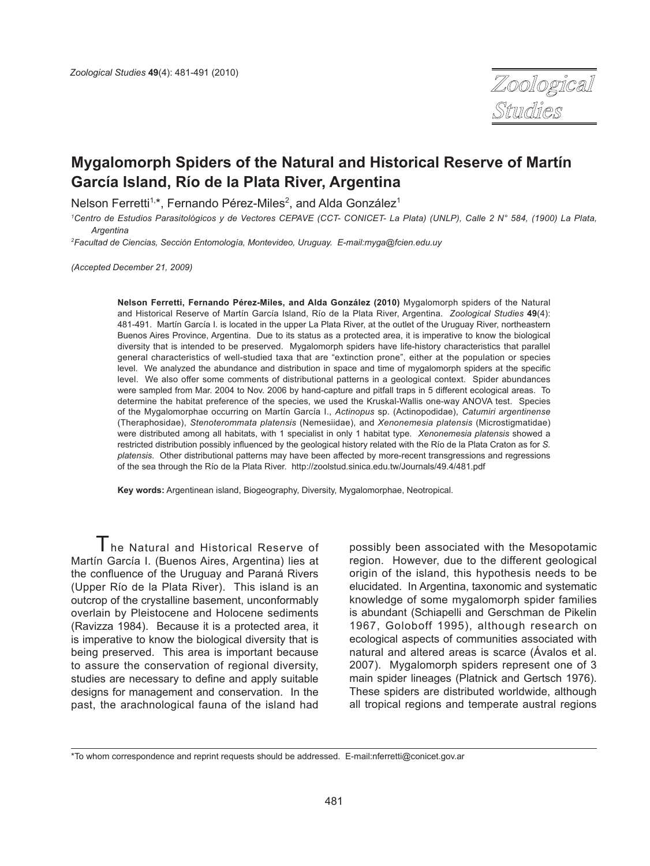

# **Mygalomorph Spiders of the Natural and Historical Reserve of Martín García Island, Río de la Plata River, Argentina**

Nelson Ferretti<sup>1,\*</sup>, Fernando Pérez-Miles<sup>2</sup>, and Alda González<sup>1</sup>

*1 Centro de Estudios Parasitológicos y de Vectores CEPAVE (CCT- CONICET- La Plata) (UNLP), Calle 2 N° 584, (1900) La Plata, Argentina*

*2 Facultad de Ciencias, Sección Entomología, Montevideo, Uruguay. E-mail:myga@fcien.edu.uy*

*(Accepted December 21, 2009)*

**Nelson Ferretti, Fernando Pérez-Miles, and Alda González (2010)** Mygalomorph spiders of the Natural and Historical Reserve of Martín García Island, Río de la Plata River, Argentina. *Zoological Studies* **49**(4): 481-491. Martín García I. is located in the upper La Plata River, at the outlet of the Uruguay River, northeastern Buenos Aires Province, Argentina. Due to its status as a protected area, it is imperative to know the biological diversity that is intended to be preserved. Mygalomorph spiders have life-history characteristics that parallel general characteristics of well-studied taxa that are "extinction prone", either at the population or species level. We analyzed the abundance and distribution in space and time of mygalomorph spiders at the specific level. We also offer some comments of distributional patterns in a geological context. Spider abundances were sampled from Mar. 2004 to Nov. 2006 by hand-capture and pitfall traps in 5 different ecological areas. To determine the habitat preference of the species, we used the Kruskal-Wallis one-way ANOVA test. Species of the Mygalomorphae occurring on Martín García I., *Actinopus* sp. (Actinopodidae), *Catumiri argentinense* (Theraphosidae), *Stenoterommata platensis* (Nemesiidae), and *Xenonemesia platensis* (Microstigmatidae) were distributed among all habitats, with 1 specialist in only 1 habitat type. *Xenonemesia platensis* showed a restricted distribution possibly influenced by the geological history related with the Río de la Plata Craton as for *S. platensis*. Other distributional patterns may have been affected by more-recent transgressions and regressions of the sea through the Río de la Plata River. http://zoolstud.sinica.edu.tw/Journals/49.4/481.pdf

**Key words:** Argentinean island, Biogeography, Diversity, Mygalomorphae, Neotropical.

I he Natural and Historical Reserve of Martín García I. (Buenos Aires, Argentina) lies at the confluence of the Uruguay and Paraná Rivers (Upper Río de la Plata River). This island is an outcrop of the crystalline basement, unconformably overlain by Pleistocene and Holocene sediments (Ravizza 1984). Because it is a protected area, it is imperative to know the biological diversity that is being preserved. This area is important because to assure the conservation of regional diversity, studies are necessary to define and apply suitable designs for management and conservation. In the past, the arachnological fauna of the island had

possibly been associated with the Mesopotamic region. However, due to the different geological origin of the island, this hypothesis needs to be elucidated. In Argentina, taxonomic and systematic knowledge of some mygalomorph spider families is abundant (Schiapelli and Gerschman de Pikelin 1967, Goloboff 1995), although research on ecological aspects of communities associated with natural and altered areas is scarce (Ávalos et al. 2007). Mygalomorph spiders represent one of 3 main spider lineages (Platnick and Gertsch 1976). These spiders are distributed worldwide, although all tropical regions and temperate austral regions

<sup>\*</sup>To whom correspondence and reprint requests should be addressed. E-mail:nferretti@conicet.gov.ar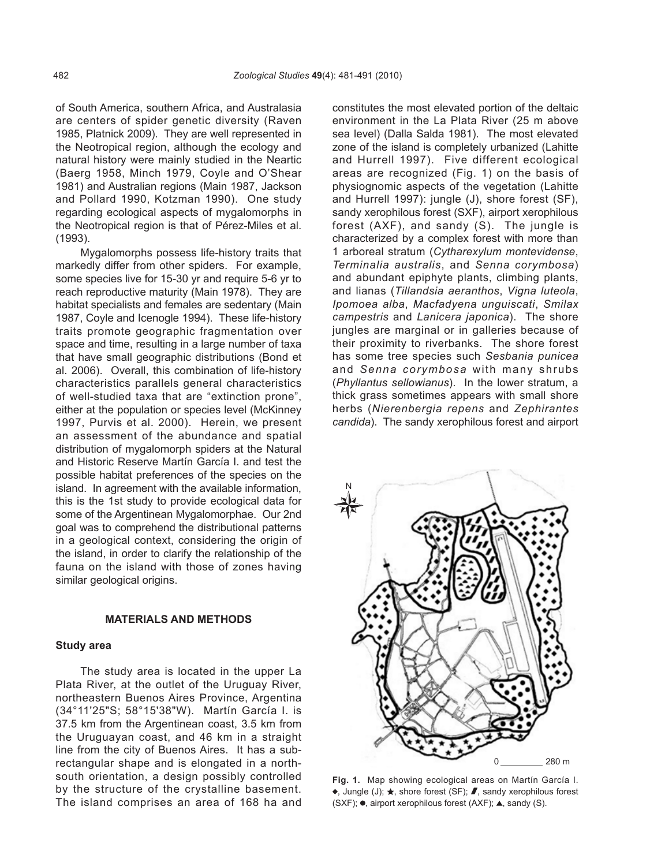of South America, southern Africa, and Australasia are centers of spider genetic diversity (Raven 1985, Platnick 2009). They are well represented in the Neotropical region, although the ecology and natural history were mainly studied in the Neartic (Baerg 1958, Minch 1979, Coyle and O'Shear 1981) and Australian regions (Main 1987, Jackson and Pollard 1990, Kotzman 1990). One study regarding ecological aspects of mygalomorphs in the Neotropical region is that of Pérez-Miles et al. (1993).

Mygalomorphs possess life-history traits that markedly differ from other spiders. For example, some species live for 15-30 yr and require 5-6 yr to reach reproductive maturity (Main 1978). They are habitat specialists and females are sedentary (Main 1987, Coyle and Icenogle 1994). These life-history traits promote geographic fragmentation over space and time, resulting in a large number of taxa that have small geographic distributions (Bond et al. 2006). Overall, this combination of life-history characteristics parallels general characteristics of well-studied taxa that are "extinction prone", either at the population or species level (McKinney 1997, Purvis et al. 2000). Herein, we present an assessment of the abundance and spatial distribution of mygalomorph spiders at the Natural and Historic Reserve Martín García I. and test the possible habitat preferences of the species on the island. In agreement with the available information, this is the 1st study to provide ecological data for some of the Argentinean Mygalomorphae. Our 2nd goal was to comprehend the distributional patterns in a geological context, considering the origin of the island, in order to clarify the relationship of the fauna on the island with those of zones having similar geological origins.

#### **MATERIALS AND METHODS**

#### **Study area**

The study area is located in the upper La Plata River, at the outlet of the Uruguay River, northeastern Buenos Aires Province, Argentina (34°11'25"S; 58°15'38"W). Martín García I. is 37.5 km from the Argentinean coast, 3.5 km from the Uruguayan coast, and 46 km in a straight line from the city of Buenos Aires. It has a subrectangular shape and is elongated in a northsouth orientation, a design possibly controlled by the structure of the crystalline basement. The island comprises an area of 168 ha and constitutes the most elevated portion of the deltaic environment in the La Plata River (25 m above sea level) (Dalla Salda 1981). The most elevated zone of the island is completely urbanized (Lahitte and Hurrell 1997). Five different ecological areas are recognized (Fig. 1) on the basis of physiognomic aspects of the vegetation (Lahitte and Hurrell 1997): jungle (J), shore forest (SF), sandy xerophilous forest (SXF), airport xerophilous forest (AXF), and sandy (S). The jungle is characterized by a complex forest with more than 1 arboreal stratum (*Cytharexylum montevidense*, *Terminalia australis*, and *Senna corymbosa*) and abundant epiphyte plants, climbing plants, and lianas (*Tillandsia aeranthos*, *Vigna luteola*, *Ipomoea alba*, *Macfadyena unguiscati*, *Smilax campestris* and *Lanicera japonica*). The shore jungles are marginal or in galleries because of their proximity to riverbanks. The shore forest has some tree species such *Sesbania punicea* and *Senna corymbosa* with many shrubs (*Phyllantus sellowianus*). In the lower stratum, a thick grass sometimes appears with small shore herbs (*Nierenbergia repens* and *Zephirantes candida*). The sandy xerophilous forest and airport



**Fig. 1.** Map showing ecological areas on Martín García I.  $\bullet$ , Jungle (J);  $\star$ , shore forest (SF);  $\blacktriangledown$ , sandy xerophilous forest (SXF);  $\bullet$ , airport xerophilous forest (AXF);  $\blacktriangle$ , sandy (S).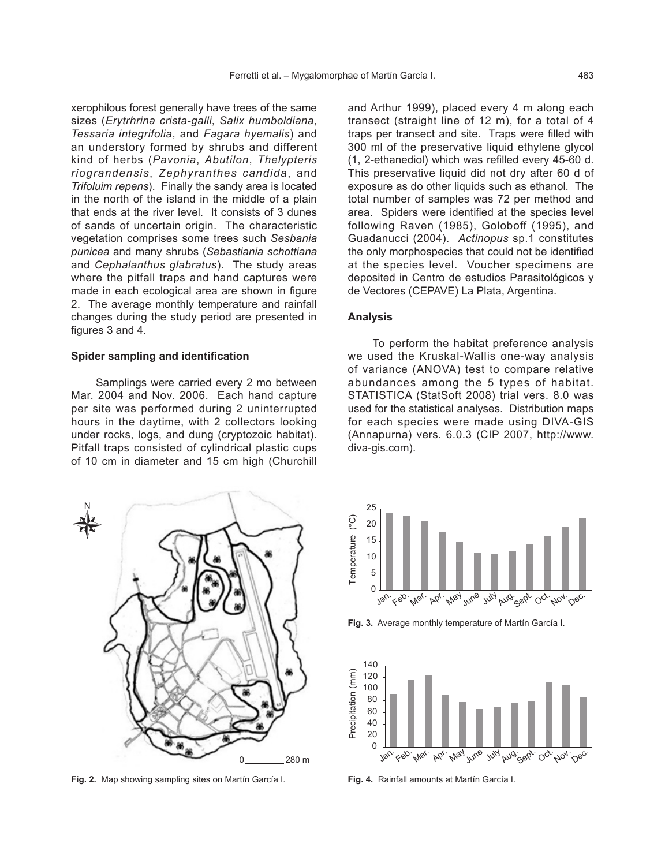xerophilous forest generally have trees of the same sizes (*Erytrhrina crista-galli*, *Salix humboldiana*, *Tessaria integrifolia*, and *Fagara hyemalis*) and an understory formed by shrubs and different kind of herbs (*Pavonia*, *Abutilon*, *Thelypteris riograndensis*, *Zephyranthes candida*, and *Trifoluim repens*). Finally the sandy area is located in the north of the island in the middle of a plain that ends at the river level. It consists of 3 dunes of sands of uncertain origin. The characteristic vegetation comprises some trees such *Sesbania punicea* and many shrubs (*Sebastiania schottiana* and *Cephalanthus glabratus*). The study areas where the pitfall traps and hand captures were made in each ecological area are shown in figure 2. The average monthly temperature and rainfall changes during the study period are presented in figures 3 and 4.

### **Spider sampling and identification**

Samplings were carried every 2 mo between Mar. 2004 and Nov. 2006. Each hand capture per site was performed during 2 uninterrupted hours in the daytime, with 2 collectors looking under rocks, logs, and dung (cryptozoic habitat). Pitfall traps consisted of cylindrical plastic cups of 10 cm in diameter and 15 cm high (Churchill

0 280 m N

**Fig. 2.** Map showing sampling sites on Martín García I.

and Arthur 1999), placed every 4 m along each transect (straight line of 12 m), for a total of 4 traps per transect and site. Traps were filled with 300 ml of the preservative liquid ethylene glycol (1, 2-ethanediol) which was refilled every 45-60 d. This preservative liquid did not dry after 60 d of exposure as do other liquids such as ethanol. The total number of samples was 72 per method and area. Spiders were identified at the species level following Raven (1985), Goloboff (1995), and Guadanucci (2004). *Actinopus* sp.1 constitutes the only morphospecies that could not be identified at the species level. Voucher specimens are deposited in Centro de estudios Parasitológicos y de Vectores (CEPAVE) La Plata, Argentina.

#### **Analysis**

To perform the habitat preference analysis we used the Kruskal-Wallis one-way analysis of variance (ANOVA) test to compare relative abundances among the 5 types of habitat. STATISTICA (StatSoft 2008) trial vers. 8.0 was used for the statistical analyses. Distribution maps for each species were made using DIVA-GIS (Annapurna) vers. 6.0.3 (CIP 2007, http://www. diva-gis.com).



**Fig. 3.** Average monthly temperature of Martín García I.



**Fig. 4.** Rainfall amounts at Martín García I.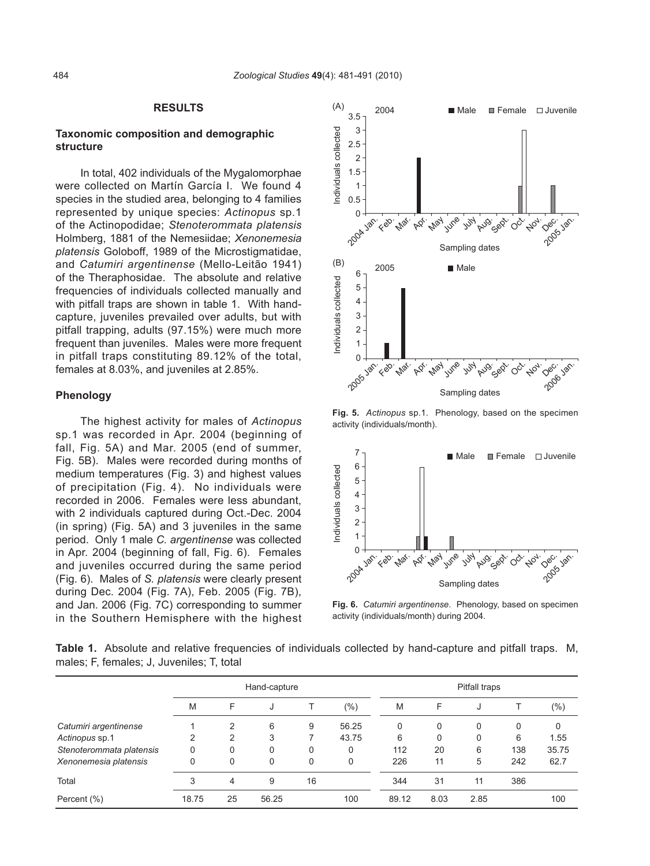## **RESULTS**

## **Taxonomic composition and demographic structure**

In total, 402 individuals of the Mygalomorphae were collected on Martín García I. We found 4 species in the studied area, belonging to 4 families represented by unique species: *Actinopus* sp.1 of the Actinopodidae; *Stenoterommata platensis*  Holmberg, 1881 of the Nemesiidae; *Xenonemesia platensis* Goloboff, 1989 of the Microstigmatidae, and *Catumiri argentinense* (Mello-Leitão 1941) of the Theraphosidae. The absolute and relative frequencies of individuals collected manually and with pitfall traps are shown in table 1. With handcapture, juveniles prevailed over adults, but with pitfall trapping, adults (97.15%) were much more frequent than juveniles. Males were more frequent in pitfall traps constituting 89.12% of the total, females at 8.03%, and juveniles at 2.85%.

#### **Phenology**

The highest activity for males of *Actinopus*  sp.1 was recorded in Apr. 2004 (beginning of fall, Fig. 5A) and Mar. 2005 (end of summer, Fig. 5B). Males were recorded during months of medium temperatures (Fig. 3) and highest values of precipitation (Fig. 4). No individuals were recorded in 2006. Females were less abundant, with 2 individuals captured during Oct.-Dec. 2004 (in spring) (Fig. 5A) and 3 juveniles in the same period. Only 1 male *C. argentinense* was collected in Apr. 2004 (beginning of fall, Fig. 6). Females and juveniles occurred during the same period (Fig. 6). Males of *S. platensis* were clearly present during Dec. 2004 (Fig. 7A), Feb. 2005 (Fig. 7B), and Jan. 2006 (Fig. 7C) corresponding to summer in the Southern Hemisphere with the highest



**Fig. 5.** *Actinopus* sp.1. Phenology, based on the specimen activity (individuals/month).



**Fig. 6.** *Catumiri argentinense*. Phenology, based on specimen activity (individuals/month) during 2004.

**Table 1.** Absolute and relative frequencies of individuals collected by hand-capture and pitfall traps. M, males; F, females; J, Juveniles; T, total

|                          | Hand-capture |    |          |    | Pitfall traps |       |          |      |     |         |
|--------------------------|--------------|----|----------|----|---------------|-------|----------|------|-----|---------|
|                          | M            | F  | J        |    | $(\% )$       | M     | F        | J    |     | $(\% )$ |
| Catumiri argentinense    |              | 2  | 6        | 9  | 56.25         | 0     | 0        | 0    | 0   | 0       |
| Actinopus sp.1           | 2            | 2  | 3        |    | 43.75         | 6     | $\Omega$ | 0    | 6   | 1.55    |
| Stenoterommata platensis | 0            | 0  | $\Omega$ | 0  | 0             | 112   | 20       | 6    | 138 | 35.75   |
| Xenonemesia platensis    | 0            | 0  | 0        | 0  | 0             | 226   | 11       | 5    | 242 | 62.7    |
| Total                    | 3            | 4  | 9        | 16 |               | 344   | 31       | 11   | 386 |         |
| Percent (%)              | 18.75        | 25 | 56.25    |    | 100           | 89.12 | 8.03     | 2.85 |     | 100     |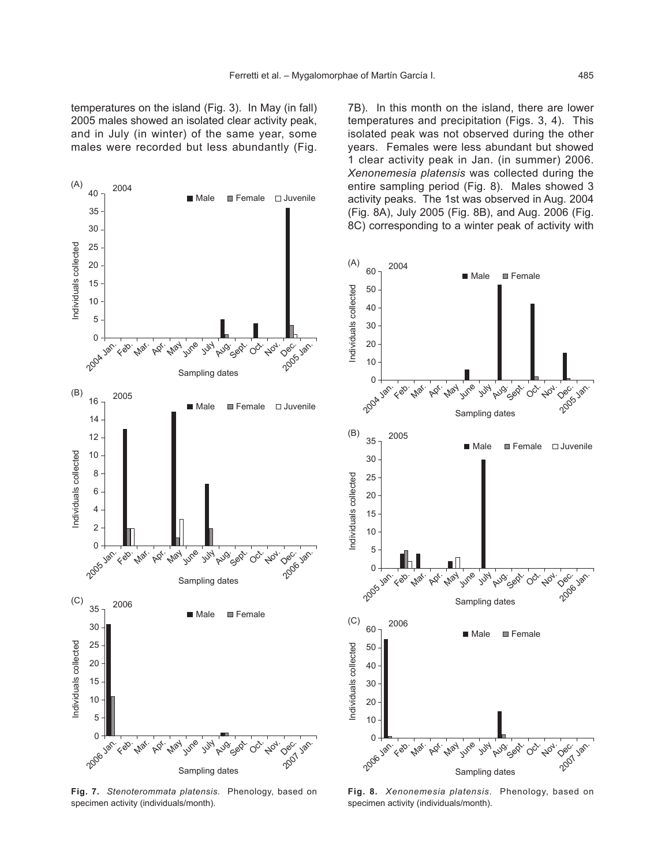7B). In this month on the island, there are lower temperatures and precipitation (Figs. 3, 4). This isolated peak was not observed during the other years. Females were less abundant but showed 1 clear activity peak in Jan. (in summer) 2006. *Xenonemesia platensis* was collected during the entire sampling period (Fig. 8). Males showed 3 activity peaks. The 1st was observed in Aug. 2004 (Fig. 8A), July 2005 (Fig. 8B), and Aug. 2006 (Fig. 8C) corresponding to a winter peak of activity with



**Fig. 7.** *Stenoterommata platensis*. Phenology, based on specimen activity (individuals/month).



**Fig. 8.** *Xenonemesia platensis*. Phenology, based on specimen activity (individuals/month).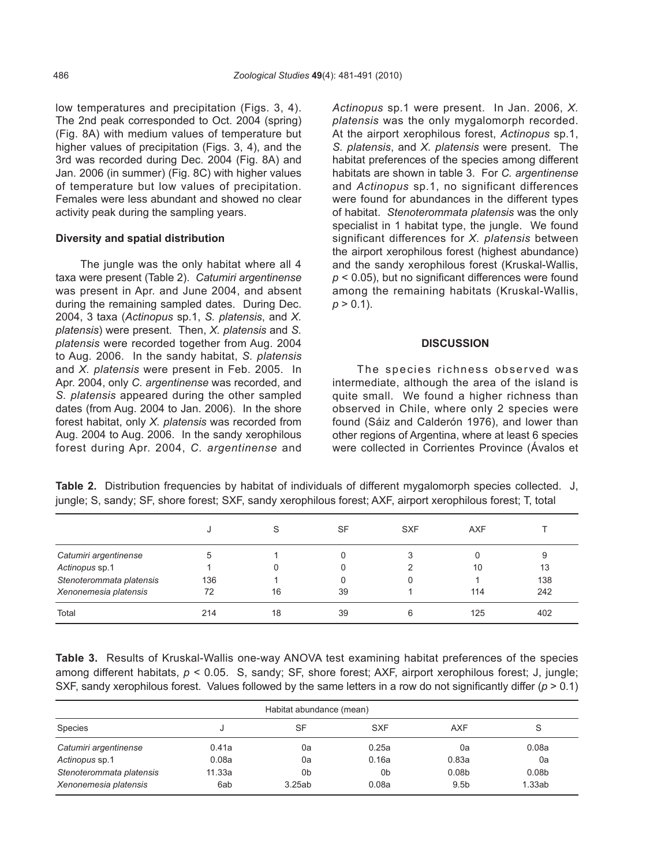low temperatures and precipitation (Figs. 3, 4). The 2nd peak corresponded to Oct. 2004 (spring) (Fig. 8A) with medium values of temperature but higher values of precipitation (Figs. 3, 4), and the 3rd was recorded during Dec. 2004 (Fig. 8A) and Jan. 2006 (in summer) (Fig. 8C) with higher values of temperature but low values of precipitation. Females were less abundant and showed no clear activity peak during the sampling years.

# **Diversity and spatial distribution**

The jungle was the only habitat where all 4 taxa were present (Table 2). *Catumiri argentinense* was present in Apr. and June 2004, and absent during the remaining sampled dates. During Dec. 2004, 3 taxa (*Actinopus* sp.1, *S. platensis*, and *X. platensis*) were present. Then, *X. platensis* and *S. platensis* were recorded together from Aug. 2004 to Aug. 2006. In the sandy habitat, *S. platensis* and *X. platensis* were present in Feb. 2005. In Apr. 2004, only *C. argentinense* was recorded, and *S. platensis* appeared during the other sampled dates (from Aug. 2004 to Jan. 2006). In the shore forest habitat, only *X. platensis* was recorded from Aug. 2004 to Aug. 2006. In the sandy xerophilous forest during Apr. 2004, *C. argentinense* and *Actinopus* sp.1 were present. In Jan. 2006, *X. platensis* was the only mygalomorph recorded. At the airport xerophilous forest, *Actinopus* sp.1, *S. platensis*, and *X. platensis* were present. The habitat preferences of the species among different habitats are shown in table 3. For *C. argentinense* and *Actinopus* sp.1, no significant differences were found for abundances in the different types of habitat. *Stenoterommata platensis* was the only specialist in 1 habitat type, the jungle. We found significant differences for *X. platensis* between the airport xerophilous forest (highest abundance) and the sandy xerophilous forest (Kruskal-Wallis, *p* < 0.05), but no significant differences were found among the remaining habitats (Kruskal-Wallis,  $p > 0.1$ ).

## **DISCUSSION**

The species richness observed was intermediate, although the area of the island is quite small. We found a higher richness than observed in Chile, where only 2 species were found (Sáiz and Calderón 1976), and lower than other regions of Argentina, where at least 6 species were collected in Corrientes Province (Ávalos et

|                          |     | S  | SF | <b>SXF</b> | <b>AXF</b> |     |
|--------------------------|-----|----|----|------------|------------|-----|
| Catumiri argentinense    | 5   |    |    |            |            | 9   |
| Actinopus sp.1           |     |    |    |            | 10         | 13  |
| Stenoterommata platensis | 136 |    |    |            |            | 138 |
| Xenonemesia platensis    | 72  | 16 | 39 |            | 114        | 242 |
| Total                    | 214 | 18 | 39 | 6          | 125        | 402 |

**Table 2.** Distribution frequencies by habitat of individuals of different mygalomorph species collected. J, jungle; S, sandy; SF, shore forest; SXF, sandy xerophilous forest; AXF, airport xerophilous forest; T, total

**Table 3.** Results of Kruskal-Wallis one-way ANOVA test examining habitat preferences of the species among different habitats, *p* < 0.05. S, sandy; SF, shore forest; AXF, airport xerophilous forest; J, jungle; SXF, sandy xerophilous forest. Values followed by the same letters in a row do not significantly differ ( $p > 0.1$ )

| Habitat abundance (mean) |        |        |            |                   |                   |  |  |
|--------------------------|--------|--------|------------|-------------------|-------------------|--|--|
| Species                  |        | SF     | <b>SXF</b> | AXF               | S                 |  |  |
| Catumiri argentinense    | 0.41a  | 0a     | 0.25a      | 0a                | 0.08a             |  |  |
| Actinopus sp.1           | 0.08a  | 0a     | 0.16a      | 0.83a             | 0a                |  |  |
| Stenoterommata platensis | 11.33a | 0b     | 0b         | 0.08 <sub>b</sub> | 0.08 <sub>b</sub> |  |  |
| Xenonemesia platensis    | 6ab    | 3.25ab | 0.08a      | 9.5 <sub>b</sub>  | 1.33ab            |  |  |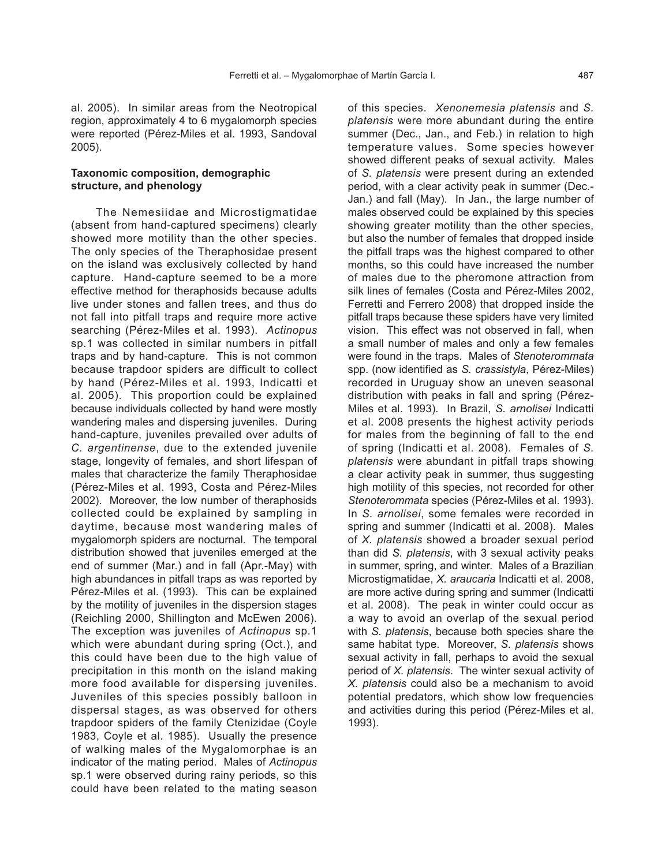al. 2005). In similar areas from the Neotropical region, approximately 4 to 6 mygalomorph species were reported (Pérez-Miles et al. 1993, Sandoval 2005).

# **Taxonomic composition, demographic structure, and phenology**

The Nemesiidae and Microstigmatidae (absent from hand-captured specimens) clearly showed more motility than the other species. The only species of the Theraphosidae present on the island was exclusively collected by hand capture. Hand-capture seemed to be a more effective method for theraphosids because adults live under stones and fallen trees, and thus do not fall into pitfall traps and require more active searching (Pérez-Miles et al. 1993). *Actinopus*  sp.1 was collected in similar numbers in pitfall traps and by hand-capture. This is not common because trapdoor spiders are difficult to collect by hand (Pérez-Miles et al. 1993, Indicatti et al. 2005). This proportion could be explained because individuals collected by hand were mostly wandering males and dispersing juveniles. During hand-capture, juveniles prevailed over adults of *C. argentinense*, due to the extended juvenile stage, longevity of females, and short lifespan of males that characterize the family Theraphosidae (Pérez-Miles et al. 1993, Costa and Pérez-Miles 2002). Moreover, the low number of theraphosids collected could be explained by sampling in daytime, because most wandering males of mygalomorph spiders are nocturnal. The temporal distribution showed that juveniles emerged at the end of summer (Mar.) and in fall (Apr.-May) with high abundances in pitfall traps as was reported by Pérez-Miles et al. (1993). This can be explained by the motility of juveniles in the dispersion stages (Reichling 2000, Shillington and McEwen 2006). The exception was juveniles of *Actinopus* sp.1 which were abundant during spring (Oct.), and this could have been due to the high value of precipitation in this month on the island making more food available for dispersing juveniles. Juveniles of this species possibly balloon in dispersal stages, as was observed for others trapdoor spiders of the family Ctenizidae (Coyle 1983, Coyle et al. 1985). Usually the presence of walking males of the Mygalomorphae is an indicator of the mating period. Males of *Actinopus* sp.1 were observed during rainy periods, so this could have been related to the mating season

of this species. *Xenonemesia platensis* and *S. platensis* were more abundant during the entire summer (Dec., Jan., and Feb.) in relation to high temperature values. Some species however showed different peaks of sexual activity. Males of *S. platensis* were present during an extended period, with a clear activity peak in summer (Dec.- Jan.) and fall (May). In Jan., the large number of males observed could be explained by this species showing greater motility than the other species, but also the number of females that dropped inside the pitfall traps was the highest compared to other months, so this could have increased the number of males due to the pheromone attraction from silk lines of females (Costa and Pérez-Miles 2002, Ferretti and Ferrero 2008) that dropped inside the pitfall traps because these spiders have very limited vision. This effect was not observed in fall, when a small number of males and only a few females were found in the traps. Males of *Stenoterommata* spp. (now identified as *S. crassistyla*, Pérez-Miles) recorded in Uruguay show an uneven seasonal distribution with peaks in fall and spring (Pérez-Miles et al. 1993). In Brazil, *S. arnolisei* Indicatti et al. 2008 presents the highest activity periods for males from the beginning of fall to the end of spring (Indicatti et al. 2008). Females of *S. platensis* were abundant in pitfall traps showing a clear activity peak in summer, thus suggesting high motility of this species, not recorded for other *Stenoterommata* species (Pérez-Miles et al. 1993). In *S. arnolisei*, some females were recorded in spring and summer (Indicatti et al. 2008). Males of *X. platensis* showed a broader sexual period than did *S. platensis*, with 3 sexual activity peaks in summer, spring, and winter. Males of a Brazilian Microstigmatidae, *X. araucaria* Indicatti et al. 2008, are more active during spring and summer (Indicatti et al. 2008). The peak in winter could occur as a way to avoid an overlap of the sexual period with *S. platensis*, because both species share the same habitat type. Moreover, *S. platensis* shows sexual activity in fall, perhaps to avoid the sexual period of *X. platensis*. The winter sexual activity of *X. platensis* could also be a mechanism to avoid potential predators, which show low frequencies and activities during this period (Pérez-Miles et al. 1993).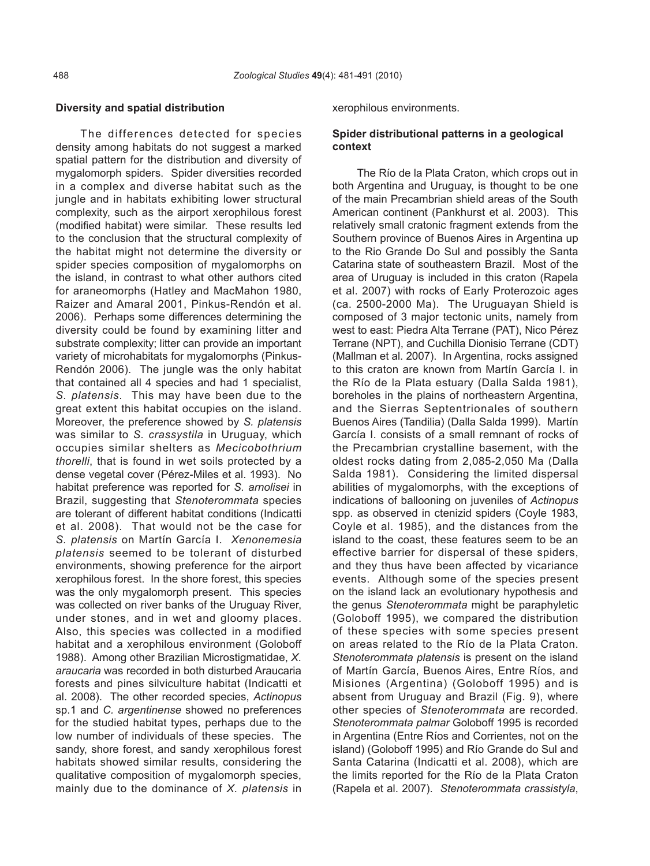#### **Diversity and spatial distribution**

The differences detected for species density among habitats do not suggest a marked spatial pattern for the distribution and diversity of mygalomorph spiders. Spider diversities recorded in a complex and diverse habitat such as the jungle and in habitats exhibiting lower structural complexity, such as the airport xerophilous forest (modified habitat) were similar. These results led to the conclusion that the structural complexity of the habitat might not determine the diversity or spider species composition of mygalomorphs on the island, in contrast to what other authors cited for araneomorphs (Hatley and MacMahon 1980, Raizer and Amaral 2001, Pinkus-Rendón et al. 2006). Perhaps some differences determining the diversity could be found by examining litter and substrate complexity; litter can provide an important variety of microhabitats for mygalomorphs (Pinkus-Rendón 2006). The jungle was the only habitat that contained all 4 species and had 1 specialist, *S. platensis*. This may have been due to the great extent this habitat occupies on the island. Moreover, the preference showed by *S. platensis* was similar to *S. crassystila* in Uruguay, which occupies similar shelters as *Mecicobothrium thorelli*, that is found in wet soils protected by a dense vegetal cover (Pérez-Miles et al. 1993). No habitat preference was reported for *S. arnolisei* in Brazil, suggesting that *Stenoterommata* species are tolerant of different habitat conditions (Indicatti et al. 2008). That would not be the case for *S. platensis* on Martín García I. *Xenonemesia platensis* seemed to be tolerant of disturbed environments, showing preference for the airport xerophilous forest. In the shore forest, this species was the only mygalomorph present. This species was collected on river banks of the Uruguay River, under stones, and in wet and gloomy places. Also, this species was collected in a modified habitat and a xerophilous environment (Goloboff 1988). Among other Brazilian Microstigmatidae, *X. araucaria* was recorded in both disturbed Araucaria forests and pines silviculture habitat (Indicatti et al. 2008). The other recorded species, *Actinopus*  sp.1 and *C. argentinense* showed no preferences for the studied habitat types, perhaps due to the low number of individuals of these species. The sandy, shore forest, and sandy xerophilous forest habitats showed similar results, considering the qualitative composition of mygalomorph species, mainly due to the dominance of *X. platensis* in

xerophilous environments.

# **Spider distributional patterns in a geological context**

The Río de la Plata Craton, which crops out in both Argentina and Uruguay, is thought to be one of the main Precambrian shield areas of the South American continent (Pankhurst et al. 2003). This relatively small cratonic fragment extends from the Southern province of Buenos Aires in Argentina up to the Rio Grande Do Sul and possibly the Santa Catarina state of southeastern Brazil. Most of the area of Uruguay is included in this craton (Rapela et al. 2007) with rocks of Early Proterozoic ages (ca. 2500-2000 Ma). The Uruguayan Shield is composed of 3 major tectonic units, namely from west to east: Piedra Alta Terrane (PAT), Nico Pérez Terrane (NPT), and Cuchilla Dionisio Terrane (CDT) (Mallman et al. 2007). In Argentina, rocks assigned to this craton are known from Martín García I. in the Río de la Plata estuary (Dalla Salda 1981), boreholes in the plains of northeastern Argentina, and the Sierras Septentrionales of southern Buenos Aires (Tandilia) (Dalla Salda 1999). Martín García I. consists of a small remnant of rocks of the Precambrian crystalline basement, with the oldest rocks dating from 2,085-2,050 Ma (Dalla Salda 1981). Considering the limited dispersal abilities of mygalomorphs, with the exceptions of indications of ballooning on juveniles of *Actinopus* spp. as observed in ctenizid spiders (Coyle 1983, Coyle et al. 1985), and the distances from the island to the coast, these features seem to be an effective barrier for dispersal of these spiders, and they thus have been affected by vicariance events. Although some of the species present on the island lack an evolutionary hypothesis and the genus *Stenoterommata* might be paraphyletic (Goloboff 1995), we compared the distribution of these species with some species present on areas related to the Río de la Plata Craton. *Stenoterommata platensis* is present on the island of Martín García, Buenos Aires, Entre Ríos, and Misiones (Argentina) (Goloboff 1995) and is absent from Uruguay and Brazil (Fig. 9), where other species of *Stenoterommata* are recorded. *Stenoterommata palmar* Goloboff 1995 is recorded in Argentina (Entre Ríos and Corrientes, not on the island) (Goloboff 1995) and Río Grande do Sul and Santa Catarina (Indicatti et al. 2008), which are the limits reported for the Río de la Plata Craton (Rapela et al. 2007). *Stenoterommata crassistyla*,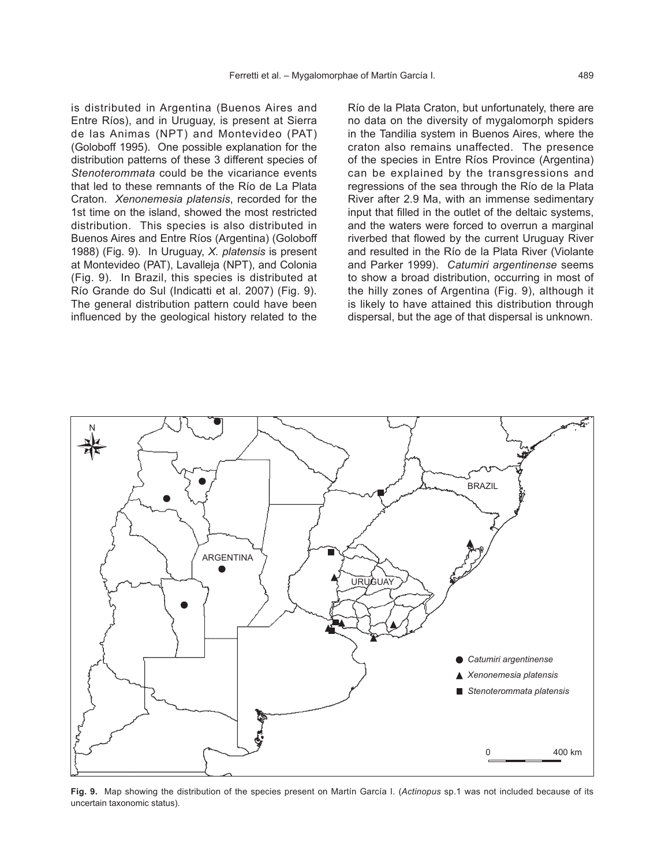is distributed in Argentina (Buenos Aires and Entre Ríos), and in Uruguay, is present at Sierra de las Animas (NPT) and Montevideo (PAT) (Goloboff 1995). One possible explanation for the distribution patterns of these 3 different species of *Stenoterommata* could be the vicariance events that led to these remnants of the Río de La Plata Craton. *Xenonemesia platensis*, recorded for the 1st time on the island, showed the most restricted distribution. This species is also distributed in Buenos Aires and Entre Ríos (Argentina) (Goloboff 1988) (Fig. 9). In Uruguay, *X. platensis* is present at Montevideo (PAT), Lavalleja (NPT), and Colonia (Fig. 9). In Brazil, this species is distributed at Río Grande do Sul (Indicatti et al. 2007) (Fig. 9). The general distribution pattern could have been influenced by the geological history related to the

Río de la Plata Craton, but unfortunately, there are no data on the diversity of mygalomorph spiders in the Tandilia system in Buenos Aires, where the craton also remains unaffected. The presence of the species in Entre Ríos Province (Argentina) can be explained by the transgressions and regressions of the sea through the Río de la Plata River after 2.9 Ma, with an immense sedimentary input that filled in the outlet of the deltaic systems, and the waters were forced to overrun a marginal riverbed that flowed by the current Uruguay River and resulted in the Río de la Plata River (Violante and Parker 1999). *Catumiri argentinense* seems to show a broad distribution, occurring in most of the hilly zones of Argentina (Fig. 9), although it is likely to have attained this distribution through dispersal, but the age of that dispersal is unknown.



**Fig. 9.** Map showing the distribution of the species present on Martín García I. (*Actinopus* sp.1 was not included because of its uncertain taxonomic status).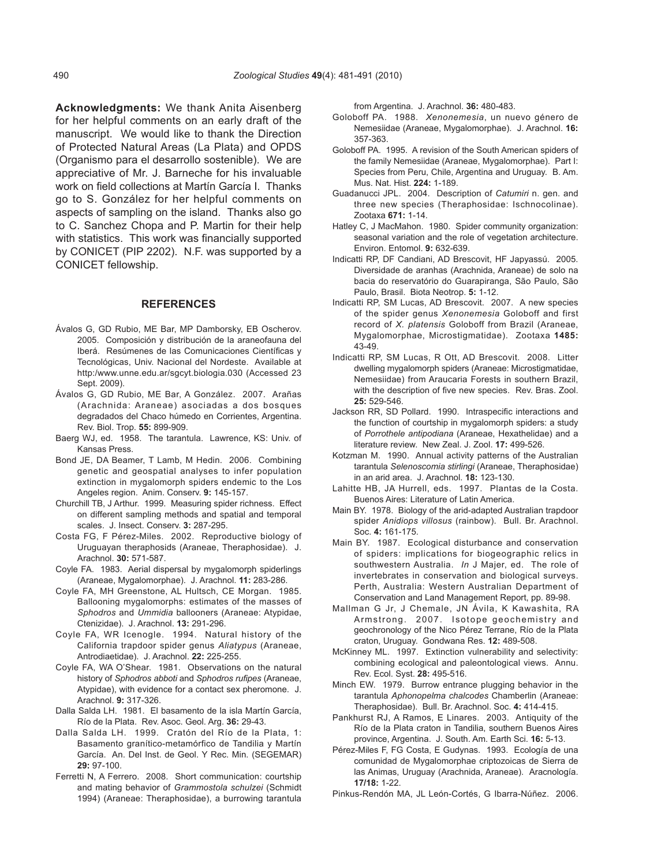**Acknowledgments:** We thank Anita Aisenberg for her helpful comments on an early draft of the manuscript. We would like to thank the Direction of Protected Natural Areas (La Plata) and OPDS (Organismo para el desarrollo sostenible). We are appreciative of Mr. J. Barneche for his invaluable work on field collections at Martín García I. Thanks go to S. González for her helpful comments on aspects of sampling on the island. Thanks also go to C. Sanchez Chopa and P. Martin for their help with statistics. This work was financially supported by CONICET (PIP 2202). N.F. was supported by a CONICET fellowship.

## **REFERENCES**

- Ávalos G, GD Rubio, ME Bar, MP Damborsky, EB Oscherov. 2005. Composición y distribución de la araneofauna del Iberá. Resúmenes de las Comunicaciones Científicas y Tecnológicas, Univ. Nacional del Nordeste. Available at http:/www.unne.edu.ar/sgcyt.biologia.030 (Accessed 23 Sept. 2009).
- Ávalos G, GD Rubio, ME Bar, A González. 2007. Arañas (Arachnida: Araneae) asociadas a dos bosques degradados del Chaco húmedo en Corrientes, Argentina. Rev. Biol. Trop. **55:** 899-909.
- Baerg WJ, ed. 1958. The tarantula. Lawrence, KS: Univ. of Kansas Press.
- Bond JE, DA Beamer, T Lamb, M Hedin. 2006. Combining genetic and geospatial analyses to infer population extinction in mygalomorph spiders endemic to the Los Angeles region. Anim. Conserv. **9:** 145-157.
- Churchill TB, J Arthur. 1999. Measuring spider richness. Effect on different sampling methods and spatial and temporal scales. J. Insect. Conserv. **3:** 287-295.
- Costa FG, F Pérez-Miles. 2002. Reproductive biology of Uruguayan theraphosids (Araneae, Theraphosidae). J. Arachnol. **30:** 571-587.
- Coyle FA. 1983. Aerial dispersal by mygalomorph spiderlings (Araneae, Mygalomorphae). J. Arachnol. **11:** 283-286.
- Coyle FA, MH Greenstone, AL Hultsch, CE Morgan. 1985. Ballooning mygalomorphs: estimates of the masses of *Sphodros* and *Ummidia* ballooners (Araneae: Atypidae, Ctenizidae). J. Arachnol. **13:** 291-296.
- Coyle FA, WR Icenogle. 1994. Natural history of the California trapdoor spider genus *Aliatypus* (Araneae, Antrodiaetidae). J. Arachnol. **22:** 225-255.
- Coyle FA, WA O'Shear. 1981. Observations on the natural history of *Sphodros abboti* and *Sphodros rufipes* (Araneae, Atypidae), with evidence for a contact sex pheromone. J. Arachnol. **9:** 317-326.
- Dalla Salda LH. 1981. El basamento de la isla Martín García, Río de la Plata. Rev. Asoc. Geol. Arg. **36:** 29-43.
- Dalla Salda LH. 1999. Cratón del Río de la Plata, 1: Basamento granítico-metamórfico de Tandilia y Martín García. An. Del Inst. de Geol. Y Rec. Min. (SEGEMAR) **29:** 97-100.
- Ferretti N, A Ferrero. 2008. Short communication: courtship and mating behavior of *Grammostola schulzei* (Schmidt 1994) (Araneae: Theraphosidae), a burrowing tarantula

from Argentina. J. Arachnol. **36:** 480-483.

- Goloboff PA. 1988. *Xenonemesia*, un nuevo género de Nemesiidae (Araneae, Mygalomorphae). J. Arachnol. **16:** 357-363.
- Goloboff PA. 1995. A revision of the South American spiders of the family Nemesiidae (Araneae, Mygalomorphae). Part I: Species from Peru, Chile, Argentina and Uruguay. B. Am. Mus. Nat. Hist. **224:** 1-189.
- Guadanucci JPL. 2004. Description of *Catumiri* n. gen. and three new species (Theraphosidae: Ischnocolinae). Zootaxa **671:** 1-14.
- Hatley C, J MacMahon. 1980. Spider community organization: seasonal variation and the role of vegetation architecture. Environ. Entomol. **9:** 632-639.
- Indicatti RP, DF Candiani, AD Brescovit, HF Japyassú. 2005. Diversidade de aranhas (Arachnida, Araneae) de solo na bacia do reservatório do Guarapiranga, São Paulo, São Paulo, Brasil. Biota Neotrop. **5:** 1-12.
- Indicatti RP, SM Lucas, AD Brescovit. 2007. A new species of the spider genus *Xenonemesia* Goloboff and first record of *X. platensis* Goloboff from Brazil (Araneae, Mygalomorphae, Microstigmatidae). Zootaxa **1485:** 43-49.
- Indicatti RP, SM Lucas, R Ott, AD Brescovit. 2008. Litter dwelling mygalomorph spiders (Araneae: Microstigmatidae, Nemesiidae) from Araucaria Forests in southern Brazil, with the description of five new species. Rev. Bras. Zool. **25:** 529-546.
- Jackson RR, SD Pollard. 1990. Intraspecific interactions and the function of courtship in mygalomorph spiders: a study of *Porrothele antipodiana* (Araneae, Hexathelidae) and a literature review. New Zeal. J. Zool. **17:** 499-526.
- Kotzman M. 1990. Annual activity patterns of the Australian tarantula *Selenoscomia stirlingi* (Araneae, Theraphosidae) in an arid area. J. Arachnol. **18:** 123-130.
- Lahitte HB, JA Hurrell, eds. 1997. Plantas de la Costa. Buenos Aires: Literature of Latin America.
- Main BY. 1978. Biology of the arid-adapted Australian trapdoor spider *Anidiops villosus* (rainbow). Bull. Br. Arachnol. Soc. **4:** 161-175.
- Main BY. 1987. Ecological disturbance and conservation of spiders: implications for biogeographic relics in southwestern Australia. *In* J Majer, ed. The role of invertebrates in conservation and biological surveys. Perth, Australia: Western Australian Department of Conservation and Land Management Report, pp. 89-98.
- Mallman G Jr, J Chemale, JN Ávila, K Kawashita, RA Armstrong. 2007. Isotope geochemistry and geochronology of the Nico Pérez Terrane, Río de la Plata craton, Uruguay. Gondwana Res. **12:** 489-508.
- McKinney ML. 1997. Extinction vulnerability and selectivity: combining ecological and paleontological views. Annu. Rev. Ecol. Syst. **28:** 495-516.
- Minch EW. 1979. Burrow entrance plugging behavior in the tarantula *Aphonopelma chalcodes* Chamberlin (Araneae: Theraphosidae). Bull. Br. Arachnol. Soc. **4:** 414-415.
- Pankhurst RJ, A Ramos, E Linares. 2003. Antiquity of the Río de la Plata craton in Tandilia, southern Buenos Aires province, Argentina. J. South. Am. Earth Sci. **16:** 5-13.
- Pérez-Miles F, FG Costa, E Gudynas. 1993. Ecología de una comunidad de Mygalomorphae criptozoicas de Sierra de las Animas, Uruguay (Arachnida, Araneae). Aracnología. **17/18:** 1-22.
- Pinkus-Rendón MA, JL León-Cortés, G Ibarra-Núñez. 2006.